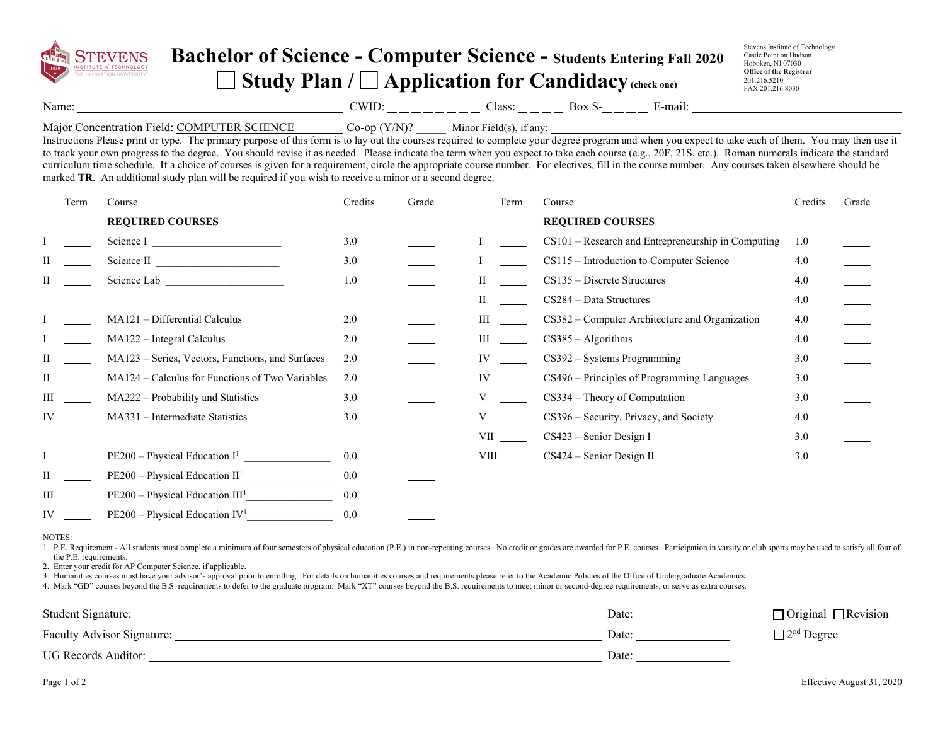

## **Bachelor of Science - Computer Science - Students Entering Fall 2020 Study Plan / Application for Candidacy (check one)**

Stevens Institute of Technology Castle Point on Hudson Hoboken, NJ 07030 **Office of the Registrar**  201.216.5210 FAX 201.216.8030

Name: Solution COMPUNE COMPUTE: Class: Box S- E-mail:

## Major Concentration Field: COMPUTER SCIENCE Co-op (Y/N)? Minor Field(s), if any:

Instructions Please print or type. The primary purpose of this form is to lay out the courses required to complete your degree program and when you expect to take each of them. You may then use it to track your own progress to the degree. You should revise it as needed. Please indicate the term when you expect to take each course (e.g., 20F, 21S, etc.). Roman numerals indicate the standard curriculum time schedule. If a choice of courses is given for a requirement, circle the appropriate course number. For electives, fill in the course number. Any courses taken elsewhere should be marked **TR**. An additional study plan will be required if you wish to receive a minor or a second degree.

|     | Term | Course                                           | Credits | Grade | Term     | Course                                             | Credits | Grade |
|-----|------|--------------------------------------------------|---------|-------|----------|----------------------------------------------------|---------|-------|
|     |      | <b>REQUIRED COURSES</b>                          |         |       |          | <b>REQUIRED COURSES</b>                            |         |       |
|     |      | Science I                                        | 3.0     |       |          | CS101 – Research and Entrepreneurship in Computing | 1.0     |       |
| П   |      | Science II                                       | 3.0     |       |          | CS115 - Introduction to Computer Science           | 4.0     |       |
| П   |      | Science Lab                                      | 1.0     |       | П        | $CS135 - Discrete Structures$                      | 4.0     |       |
|     |      |                                                  |         |       | Н        | $CS284 - Data Structures$                          | 4.0     |       |
|     |      | MA121 - Differential Calculus                    | 2.0     |       | Ш        | CS382 - Computer Architecture and Organization     | 4.0     |       |
|     |      | $MA122 - Integral Calculus$                      | 2.0     |       | Ш        | $CS385 - Algorithms$                               | 4.0     |       |
| П   |      | MA123 – Series, Vectors, Functions, and Surfaces | 2.0     |       | IV       | $CS392 - Systems Programming$                      | 3.0     |       |
| П   |      | MA124 – Calculus for Functions of Two Variables  | 2.0     |       | IV       | CS496 – Principles of Programming Languages        | 3.0     |       |
| III |      | MA222 - Probability and Statistics               | 3.0     |       |          | CS334 – Theory of Computation                      | 3.0     |       |
| IV  |      | MA331 - Intermediate Statistics                  | 3.0     |       |          | CS396 - Security, Privacy, and Society             | 4.0     |       |
|     |      |                                                  |         |       | VII QUEL | $CS423$ – Senior Design I                          | 3.0     |       |
|     |      | $PE200 - Physical Education I1$                  | 0.0     |       |          | CS424 - Senior Design II                           | 3.0     |       |
| П   |      | $PE200 - Physical Education II1$                 | 0.0     |       |          |                                                    |         |       |
| Ш   |      | $PE200 - Physical Education III1$                | 0.0     |       |          |                                                    |         |       |
| IV  |      | $PE200 - Physical Education IV1$                 | 0.0     |       |          |                                                    |         |       |

NOTES:

1. P.E. Requirement - All students must complete a minimum of four semesters of physical education (P.E.) in non-repeating courses. No credit or grades are awarded for P.E. courses. Participation in varsity or club sports the P.E. requirements.

2. Enter your credit for AP Computer Science, if applicable.

3. Humanities courses must have your advisor's approval prior to enrolling. For details on humanities courses and requirements please refer to the Academic Policies of the Office of Undergraduate Academics.

4. Mark "GD" courses beyond the B.S. requirements to defer to the graduate program. Mark "XT" courses beyond the B.S. requirements to meet minor or second-degree requirements, or serve as extra courses.

| Student Signature:         | Date: | $\Box$ Original $\Box$ Revision |
|----------------------------|-------|---------------------------------|
| Faculty Advisor Signature: | Date: | $\Box$ 2 <sup>nd</sup> Degree   |
| <b>UG Records Auditor:</b> | Date: |                                 |